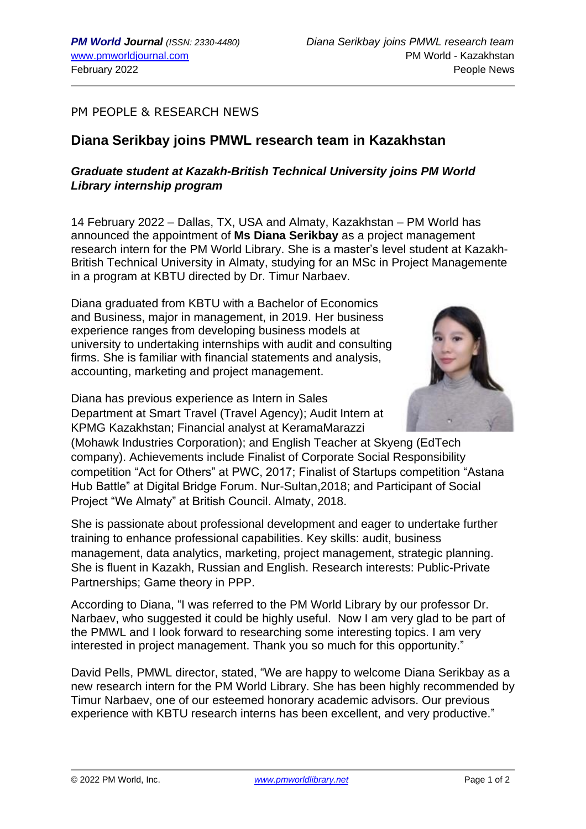## PM PEOPLE & RESEARCH NEWS

## **Diana Serikbay joins PMWL research team in Kazakhstan**

## *Graduate student at Kazakh-British Technical University joins PM World Library internship program*

14 February 2022 – Dallas, TX, USA and Almaty, Kazakhstan – PM World has announced the appointment of **Ms Diana Serikbay** as a project management research intern for the PM World Library. She is a master's level student at Kazakh-British Technical University in Almaty, studying for an MSc in Project Managemente in a program at KBTU directed by Dr. Timur Narbaev.

Diana graduated from KBTU with a Bachelor of Economics and Business, major in management, in 2019. Her business experience ranges from developing business models at university to undertaking internships with audit and consulting firms. She is familiar with financial statements and analysis, accounting, marketing and project management.

Diana has previous experience as Intern in Sales Department at Smart Travel (Travel Agency); Audit Intern at KPMG Kazakhstan; Financial analyst at KeramaMarazzi



(Mohawk Industries Corporation); and English Teacher at Skyeng (EdTech company). Achievements include Finalist of Corporate Social Responsibility competition "Act for Others" at PWC, 2017; Finalist of Startups competition "Astana Hub Battle" at Digital Bridge Forum. Nur-Sultan,2018; and Participant of Social Project "We Almaty" at British Council. Almaty, 2018.

She is passionate about professional development and eager to undertake further training to enhance professional capabilities. Key skills: audit, business management, data analytics, marketing, project management, strategic planning. She is fluent in Kazakh, Russian and English. Research interests: Public-Private Partnerships; Game theory in PPP.

According to Diana, "I was referred to the PM World Library by our professor Dr. Narbaev, who suggested it could be highly useful. Now I am very glad to be part of the PMWL and I look forward to researching some interesting topics. I am very interested in project management. Thank you so much for this opportunity."

David Pells, PMWL director, stated, "We are happy to welcome Diana Serikbay as a new research intern for the PM World Library. She has been highly recommended by Timur Narbaev, one of our esteemed honorary academic advisors. Our previous experience with KBTU research interns has been excellent, and very productive."